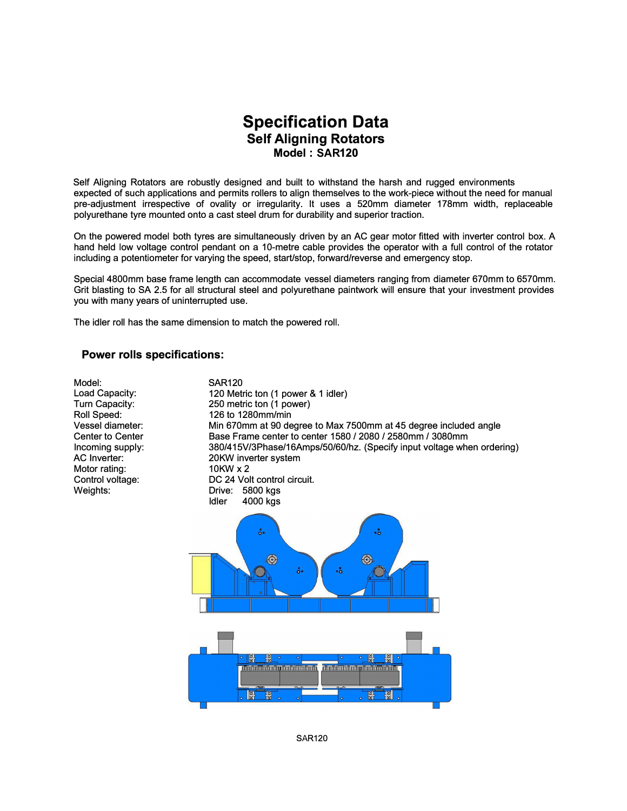## **Specification Data Self Aligning Rotators Model: SAR120**

Self Aligning Rotators are robustly designed and built to withstand the harsh and rugged environments expected of such applications and permits rollers to align themselves to the work-piece without the need for manual pre-adjustment irrespective of ovality or irregularity. lt uses a 520mm diameter 178mm width, replaceable polyurethane tyre mounted onto a cast steel drum for durability and superior traction.

On the powered model both tyres are simultaneously driven by an AC gear motor fitted with inverter control box. A hand held low voltage control pendant on a 10-metre cable provides the operator with a full control of the rotator including a potentiometer tor varying the speed, start/stop, forward/reverse and emergency stop.

Special 4800mm base frame length can accommodate vessel diameters ranging from diameter 670mm to 6570mm. Grit blasting to SA 2.5 tor all structural steel and polyurethane paintwork will ensure that your investment provides you with many years of uninterrupted use.

The idler roll has the same dimension to match the powered roll.

## **Power rolls specifications:**

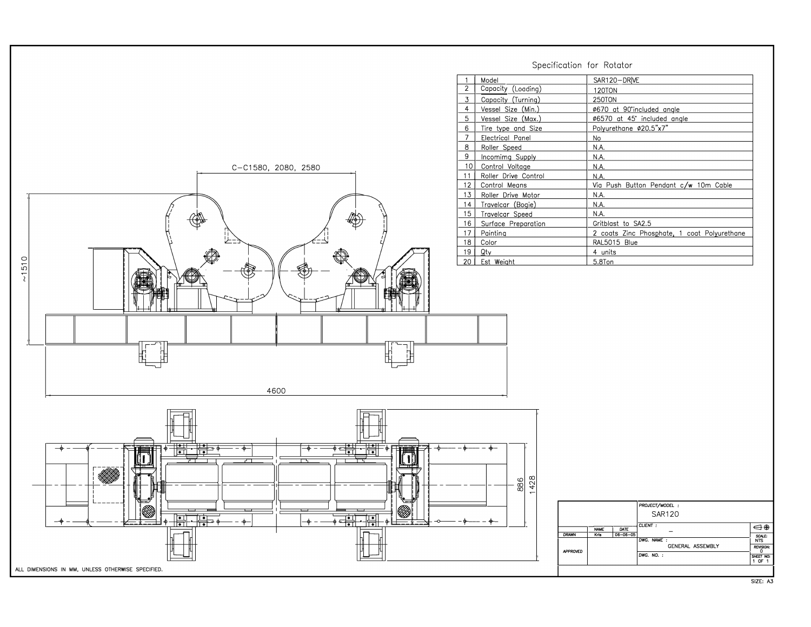Specification for Rotator